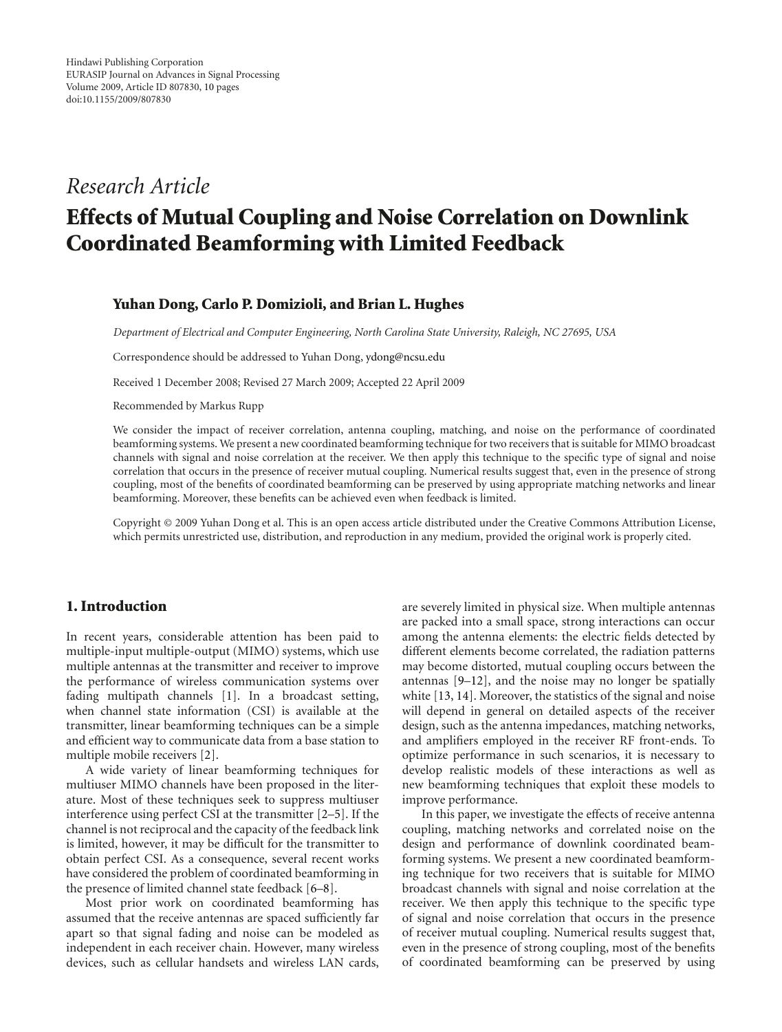## *Research Article*

# **Effects of Mutual Coupling and Noise Correlation on Downlink Coordinated Beamforming with Limited Feedback**

## **Yuhan Dong, Carlo P. Domizioli, and Brian L. Hughes**

*Department of Electrical and Computer Engineering, North Carolina State University, Raleigh, NC 27695, USA*

Correspondence should be addressed to Yuhan Dong, ydong@ncsu.edu

Received 1 December 2008; Revised 27 March 2009; Accepted 22 April 2009

Recommended by Markus Rupp

We consider the impact of receiver correlation, antenna coupling, matching, and noise on the performance of coordinated beamforming systems. We present a new coordinated beamforming technique for two receivers that is suitable for MIMO broadcast channels with signal and noise correlation at the receiver. We then apply this technique to the specific type of signal and noise correlation that occurs in the presence of receiver mutual coupling. Numerical results suggest that, even in the presence of strong coupling, most of the benefits of coordinated beamforming can be preserved by using appropriate matching networks and linear beamforming. Moreover, these benefits can be achieved even when feedback is limited.

Copyright © 2009 Yuhan Dong et al. This is an open access article distributed under the Creative Commons Attribution License, which permits unrestricted use, distribution, and reproduction in any medium, provided the original work is properly cited.

## **1. Introduction**

In recent years, considerable attention has been paid to multiple-input multiple-output (MIMO) systems, which use multiple antennas at the transmitter and receiver to improve the performance of wireless communication systems over fading multipath channels [1]. In a broadcast setting, when channel state information (CSI) is available at the transmitter, linear beamforming techniques can be a simple and efficient way to communicate data from a base station to multiple mobile receivers [2].

A wide variety of linear beamforming techniques for multiuser MIMO channels have been proposed in the literature. Most of these techniques seek to suppress multiuser interference using perfect CSI at the transmitter [2–5]. If the channel is not reciprocal and the capacity of the feedback link is limited, however, it may be difficult for the transmitter to obtain perfect CSI. As a consequence, several recent works have considered the problem of coordinated beamforming in the presence of limited channel state feedback [6–8].

Most prior work on coordinated beamforming has assumed that the receive antennas are spaced sufficiently far apart so that signal fading and noise can be modeled as independent in each receiver chain. However, many wireless devices, such as cellular handsets and wireless LAN cards, are severely limited in physical size. When multiple antennas are packed into a small space, strong interactions can occur among the antenna elements: the electric fields detected by different elements become correlated, the radiation patterns may become distorted, mutual coupling occurs between the antennas [9–12], and the noise may no longer be spatially white [13, 14]. Moreover, the statistics of the signal and noise will depend in general on detailed aspects of the receiver design, such as the antenna impedances, matching networks, and amplifiers employed in the receiver RF front-ends. To optimize performance in such scenarios, it is necessary to develop realistic models of these interactions as well as new beamforming techniques that exploit these models to improve performance.

In this paper, we investigate the effects of receive antenna coupling, matching networks and correlated noise on the design and performance of downlink coordinated beamforming systems. We present a new coordinated beamforming technique for two receivers that is suitable for MIMO broadcast channels with signal and noise correlation at the receiver. We then apply this technique to the specific type of signal and noise correlation that occurs in the presence of receiver mutual coupling. Numerical results suggest that, even in the presence of strong coupling, most of the benefits of coordinated beamforming can be preserved by using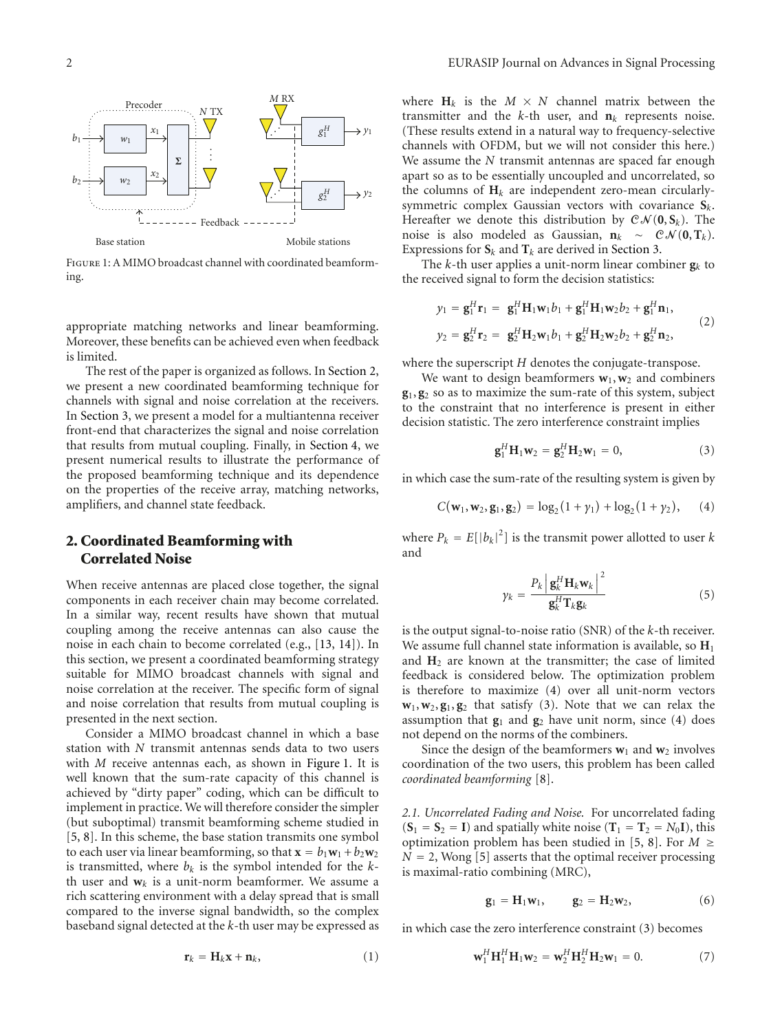

Figure 1: A MIMO broadcast channel with coordinated beamforming.

appropriate matching networks and linear beamforming. Moreover, these benefits can be achieved even when feedback is limited.

The rest of the paper is organized as follows. In Section 2, we present a new coordinated beamforming technique for channels with signal and noise correlation at the receivers. In Section 3, we present a model for a multiantenna receiver front-end that characterizes the signal and noise correlation that results from mutual coupling. Finally, in Section 4, we present numerical results to illustrate the performance of the proposed beamforming technique and its dependence on the properties of the receive array, matching networks, amplifiers, and channel state feedback.

## **2. Coordinated Beamforming with Correlated Noise**

When receive antennas are placed close together, the signal components in each receiver chain may become correlated. In a similar way, recent results have shown that mutual coupling among the receive antennas can also cause the noise in each chain to become correlated (e.g., [13, 14]). In this section, we present a coordinated beamforming strategy suitable for MIMO broadcast channels with signal and noise correlation at the receiver. The specific form of signal and noise correlation that results from mutual coupling is presented in the next section.

Consider a MIMO broadcast channel in which a base station with *N* transmit antennas sends data to two users with *M* receive antennas each, as shown in Figure 1. It is well known that the sum-rate capacity of this channel is achieved by "dirty paper" coding, which can be difficult to implement in practice. We will therefore consider the simpler (but suboptimal) transmit beamforming scheme studied in [5, 8]. In this scheme, the base station transmits one symbol to each user via linear beamforming, so that  $\mathbf{x} = b_1 \mathbf{w}_1 + b_2 \mathbf{w}_2$ is transmitted, where  $b_k$  is the symbol intended for the  $k$ th user and  $w_k$  is a unit-norm beamformer. We assume a rich scattering environment with a delay spread that is small compared to the inverse signal bandwidth, so the complex baseband signal detected at the *k*-th user may be expressed as where  $H_k$  is the  $M \times N$  channel matrix between the transmitter and the  $k$ -th user, and  $n_k$  represents noise. (These results extend in a natural way to frequency-selective channels with OFDM, but we will not consider this here.) We assume the *N* transmit antennas are spaced far enough apart so as to be essentially uncoupled and uncorrelated, so the columns of  $H_k$  are independent zero-mean circularlysymmetric complex Gaussian vectors with covariance **S***k*. Hereafter we denote this distribution by  $C\mathcal{N}(\mathbf{0}, \mathbf{S}_k)$ . The noise is also modeled as Gaussian,  $n_k \sim C \mathcal{N}(0, T_k)$ . Expressions for  $S_k$  and  $T_k$  are derived in Section 3.

The *k*-th user applies a unit-norm linear combiner  $\mathbf{g}_k$  to the received signal to form the decision statistics:

$$
y_1 = \mathbf{g}_1^H \mathbf{r}_1 = \mathbf{g}_1^H \mathbf{H}_1 \mathbf{w}_1 b_1 + \mathbf{g}_1^H \mathbf{H}_1 \mathbf{w}_2 b_2 + \mathbf{g}_1^H \mathbf{n}_1,
$$
  
\n
$$
y_2 = \mathbf{g}_2^H \mathbf{r}_2 = \mathbf{g}_2^H \mathbf{H}_2 \mathbf{w}_1 b_1 + \mathbf{g}_2^H \mathbf{H}_2 \mathbf{w}_2 b_2 + \mathbf{g}_2^H \mathbf{n}_2,
$$
\n(2)

where the superscript *H* denotes the conjugate-transpose.

We want to design beamformers  $w_1$ ,  $w_2$  and combiners **g**1, **g**<sup>2</sup> so as to maximize the sum-rate of this system, subject to the constraint that no interference is present in either decision statistic. The zero interference constraint implies

$$
\mathbf{g}_1^H \mathbf{H}_1 \mathbf{w}_2 = \mathbf{g}_2^H \mathbf{H}_2 \mathbf{w}_1 = 0, \tag{3}
$$

in which case the sum-rate of the resulting system is given by

$$
C(\mathbf{w}_1, \mathbf{w}_2, \mathbf{g}_1, \mathbf{g}_2) = \log_2(1 + \gamma_1) + \log_2(1 + \gamma_2), \quad (4)
$$

where  $P_k = E[|b_k|^2]$  is the transmit power allotted to user *k* and

$$
\gamma_k = \frac{P_k \left| \mathbf{g}_k^H \mathbf{H}_k \mathbf{w}_k \right|^2}{\mathbf{g}_k^H \mathbf{T}_k \mathbf{g}_k} \tag{5}
$$

is the output signal-to-noise ratio (SNR) of the *k*-th receiver. We assume full channel state information is available, so **H**<sup>1</sup> and **H**<sup>2</sup> are known at the transmitter; the case of limited feedback is considered below. The optimization problem is therefore to maximize (4) over all unit-norm vectors **w**1,**w**2, **g**1, **g**<sup>2</sup> that satisfy (3). Note that we can relax the assumption that  $\mathbf{g}_1$  and  $\mathbf{g}_2$  have unit norm, since (4) does not depend on the norms of the combiners.

Since the design of the beamformers  $w_1$  and  $w_2$  involves coordination of the two users, this problem has been called *coordinated beamforming* [8].

*2.1. Uncorrelated Fading and Noise.* For uncorrelated fading  $(S_1 = S_2 = I)$  and spatially white noise  $(T_1 = T_2 = N_0 I)$ , this optimization problem has been studied in [5, 8]. For  $M \geq$  $N = 2$ , Wong [5] asserts that the optimal receiver processing is maximal-ratio combining (MRC),

$$
g_1 = H_1 w_1, \t g_2 = H_2 w_2, \t (6)
$$

in which case the zero interference constraint (3) becomes

$$
\mathbf{w}_1^H \mathbf{H}_1^H \mathbf{H}_1 \mathbf{w}_2 = \mathbf{w}_2^H \mathbf{H}_2^H \mathbf{H}_2 \mathbf{w}_1 = 0. \tag{7}
$$

$$
\mathbf{r}_k = \mathbf{H}_k \mathbf{x} + \mathbf{n}_k, \tag{1}
$$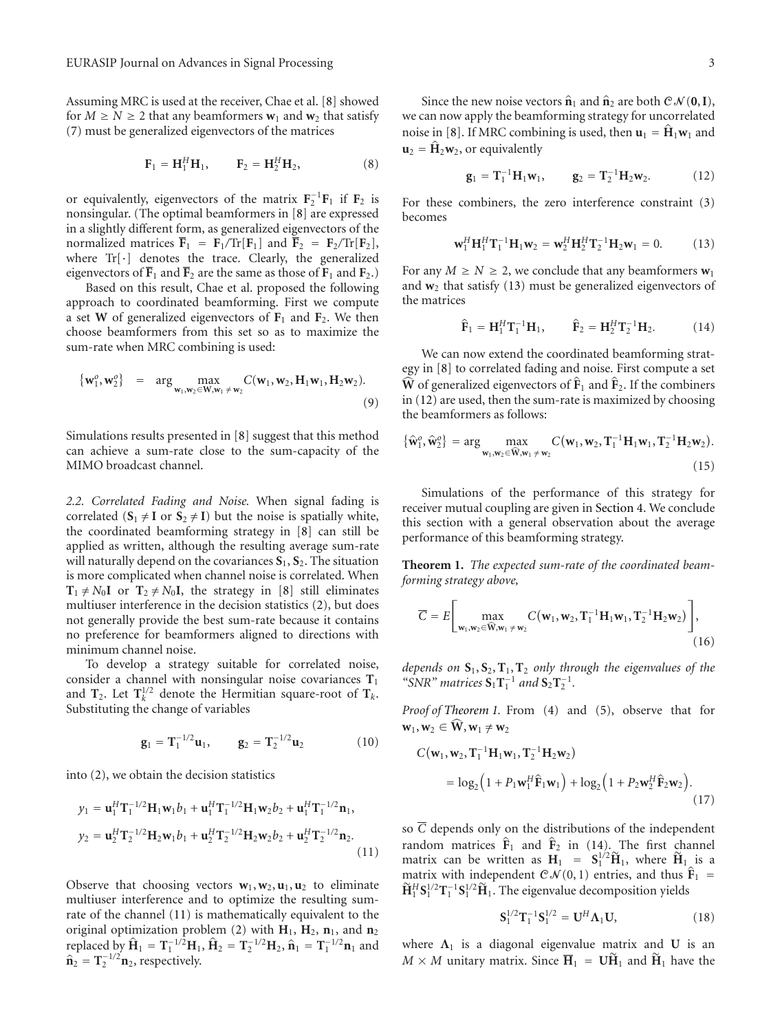Assuming MRC is used at the receiver, Chae et al. [8] showed for  $M \ge N \ge 2$  that any beamformers  $w_1$  and  $w_2$  that satisfy (7) must be generalized eigenvectors of the matrices

$$
\mathbf{F}_1 = \mathbf{H}_1^H \mathbf{H}_1, \qquad \mathbf{F}_2 = \mathbf{H}_2^H \mathbf{H}_2, \tag{8}
$$

or equivalently, eigenvectors of the matrix **F**−<sup>1</sup> <sup>2</sup> **F**<sup>1</sup> if **F**<sup>2</sup> is nonsingular. (The optimal beamformers in [8] are expressed in a slightly different form, as generalized eigenvectors of the normalized matrices  $\overline{\mathbf{F}}_1 = \mathbf{F}_1 / \text{Tr}[\mathbf{F}_1]$  and  $\overline{\mathbf{F}}_2 = \mathbf{F}_2 / \text{Tr}[\mathbf{F}_2]$ , where Tr[·] denotes the trace. Clearly, the generalized eigenvectors of  $\overline{F}_1$  and  $\overline{F}_2$  are the same as those of  $F_1$  and  $F_2$ .)

Based on this result, Chae et al. proposed the following approach to coordinated beamforming. First we compute a set **W** of generalized eigenvectors of  $\mathbf{F}_1$  and  $\mathbf{F}_2$ . We then choose beamformers from this set so as to maximize the sum-rate when MRC combining is used:

$$
\begin{array}{rcl}\n\{w_1^o, w_2^o\} & = & \arg\max_{w_1, w_2 \in W, w_1 \neq w_2} C(w_1, w_2, H_1 w_1, H_2 w_2).\n\end{array} \tag{9}
$$

Simulations results presented in [8] suggest that this method can achieve a sum-rate close to the sum-capacity of the MIMO broadcast channel.

*2.2. Correlated Fading and Noise.* When signal fading is correlated  $(S_1 \neq I \text{ or } S_2 \neq I)$  but the noise is spatially white, the coordinated beamforming strategy in [8] can still be applied as written, although the resulting average sum-rate will naturally depend on the covariances  $S_1$ ,  $S_2$ . The situation is more complicated when channel noise is correlated. When  $T_1 \neq N_0$ **I** or  $T_2 \neq N_0$ **I**, the strategy in [8] still eliminates multiuser interference in the decision statistics (2), but does not generally provide the best sum-rate because it contains no preference for beamformers aligned to directions with minimum channel noise.

To develop a strategy suitable for correlated noise, consider a channel with nonsingular noise covariances **T**<sup>1</sup> and  $\mathbf{T}_2$ . Let  $\mathbf{T}_k^{1/2}$  denote the Hermitian square-root of  $\mathbf{T}_k$ . Substituting the change of variables

$$
\mathbf{g}_1 = \mathbf{T}_1^{-1/2} \mathbf{u}_1, \qquad \mathbf{g}_2 = \mathbf{T}_2^{-1/2} \mathbf{u}_2 \tag{10}
$$

into (2), we obtain the decision statistics

$$
y_1 = \mathbf{u}_1^H \mathbf{T}_1^{-1/2} \mathbf{H}_1 \mathbf{w}_1 b_1 + \mathbf{u}_1^H \mathbf{T}_1^{-1/2} \mathbf{H}_1 \mathbf{w}_2 b_2 + \mathbf{u}_1^H \mathbf{T}_1^{-1/2} \mathbf{n}_1,
$$
  
\n
$$
y_2 = \mathbf{u}_2^H \mathbf{T}_2^{-1/2} \mathbf{H}_2 \mathbf{w}_1 b_1 + \mathbf{u}_2^H \mathbf{T}_2^{-1/2} \mathbf{H}_2 \mathbf{w}_2 b_2 + \mathbf{u}_2^H \mathbf{T}_2^{-1/2} \mathbf{n}_2.
$$
\n(11)

Observe that choosing vectors  $w_1$ ,  $w_2$ ,  $u_1$ ,  $u_2$  to eliminate multiuser interference and to optimize the resulting sumrate of the channel (11) is mathematically equivalent to the original optimization problem (2) with **H**1, **H**2, **n**1, and **n**<sup>2</sup> replaced by  $\hat{H}_1 = T_1^{-1/2}H_1$ ,  $\hat{H}_2 = T_2^{-1/2}H_2$ ,  $\hat{n}_1 = T_1^{-1/2}n_1$  and  $\hat{\mathbf{n}}_2 = \mathbf{T}_2^{-1/2} \mathbf{n}_2$ , respectively.

Since the new noise vectors  $\hat{\mathbf{n}}_1$  and  $\hat{\mathbf{n}}_2$  are both  $\mathcal{CN}(\mathbf{0}, \mathbf{I})$ , we can now apply the beamforming strategy for uncorrelated noise in [8]. If MRC combining is used, then  $\mathbf{u}_1 = \hat{\mathbf{H}}_1 \mathbf{w}_1$  and  $\mathbf{u}_2 = \hat{\mathbf{H}}_2 \mathbf{w}_2$ , or equivalently

$$
\mathbf{g}_1 = \mathbf{T}_1^{-1} \mathbf{H}_1 \mathbf{w}_1, \qquad \mathbf{g}_2 = \mathbf{T}_2^{-1} \mathbf{H}_2 \mathbf{w}_2. \tag{12}
$$

For these combiners, the zero interference constraint (3) becomes

$$
\mathbf{w}_1^H \mathbf{H}_1^H \mathbf{T}_1^{-1} \mathbf{H}_1 \mathbf{w}_2 = \mathbf{w}_2^H \mathbf{H}_2^H \mathbf{T}_2^{-1} \mathbf{H}_2 \mathbf{w}_1 = 0.
$$
 (13)

For any  $M \ge N \ge 2$ , we conclude that any beamformers  $w_1$ and **w**<sup>2</sup> that satisfy (13) must be generalized eigenvectors of the matrices

$$
\hat{\mathbf{F}}_1 = \mathbf{H}_1^H \mathbf{T}_1^{-1} \mathbf{H}_1, \qquad \hat{\mathbf{F}}_2 = \mathbf{H}_2^H \mathbf{T}_2^{-1} \mathbf{H}_2. \tag{14}
$$

We can now extend the coordinated beamforming strategy in [8] to correlated fading and noise. First compute a set **W** of generalized eigenvectors of  $\mathbf{F}_1$  and  $\mathbf{F}_2$ . If the combiners in (12) are used, then the sum-rate is maximized by choosing the beamformers as follows:

$$
\left\{\widehat{\mathbf{w}}_1^o, \widehat{\mathbf{w}}_2^o\right\} = \arg\max_{\mathbf{w}_1, \mathbf{w}_2 \in \widehat{\mathbf{W}}, \mathbf{w}_1 \neq \mathbf{w}_2} C(\mathbf{w}_1, \mathbf{w}_2, \mathbf{T}_1^{-1} \mathbf{H}_1 \mathbf{w}_1, \mathbf{T}_2^{-1} \mathbf{H}_2 \mathbf{w}_2).
$$
\n(15)

Simulations of the performance of this strategy for receiver mutual coupling are given in Section 4. We conclude this section with a general observation about the average performance of this beamforming strategy.

**Theorem 1.** *The expected sum-rate of the coordinated beamforming strategy above,*

$$
\overline{C} = E\Bigg[\max_{\mathbf{w}_1,\mathbf{w}_2 \in \widehat{\mathbf{W}}, \mathbf{w}_1 \neq \mathbf{w}_2} C(\mathbf{w}_1,\mathbf{w}_2,\mathbf{T}_1^{-1}\mathbf{H}_1\mathbf{w}_1,\mathbf{T}_2^{-1}\mathbf{H}_2\mathbf{w}_2)\Bigg],\tag{16}
$$

*depends on* **S**1, **S**2,**T**1,**T**<sup>2</sup> *only through the eigenvalues of the* "SNR" matrices  $S_1T_1^{-1}$  and  $S_2T_2^{-1}$ .

*Proof of Theorem 1.* From (4) and (5), observe that for **w**<sub>1</sub>**, w**<sub>2</sub> ∈ **W**<sub></sub>, **w**<sub>1</sub> ≠ **w**<sub>2</sub>

$$
C(\mathbf{w}_1, \mathbf{w}_2, \mathbf{T}_1^{-1} \mathbf{H}_1 \mathbf{w}_1, \mathbf{T}_2^{-1} \mathbf{H}_2 \mathbf{w}_2)
$$
  
=  $\log_2 (1 + P_1 \mathbf{w}_1^H \hat{\mathbf{F}}_1 \mathbf{w}_1) + \log_2 (1 + P_2 \mathbf{w}_2^H \hat{\mathbf{F}}_2 \mathbf{w}_2).$  (17)

so *C* depends only on the distributions of the independent random matrices  $\hat{F}_1$  and  $\hat{F}_2$  in (14). The first channel matrix can be written as  $\mathbf{H}_1 = \mathbf{S}_1^{1/2} \widetilde{\mathbf{H}}_1$ , where  $\widetilde{\mathbf{H}}_1$  is a matrix with independent  $C\mathcal{N}(0, 1)$  entries, and thus  $\hat{F}_1$  =  $\widetilde{\mathbf{H}}_1^H \mathbf{S}_1^{1/2} \mathbf{T}_1^{-1} \mathbf{S}_1^{1/2} \widetilde{\mathbf{H}}_1$ . The eigenvalue decomposition yields

$$
S_1^{1/2}T_1^{-1}S_1^{1/2} = U^H \Lambda_1 U,
$$
 (18)

where  $\Lambda_1$  is a diagonal eigenvalue matrix and **U** is an  $M \times M$  unitary matrix. Since  $\overline{H}_1 = U\widetilde{H}_1$  and  $\widetilde{H}_1$  have the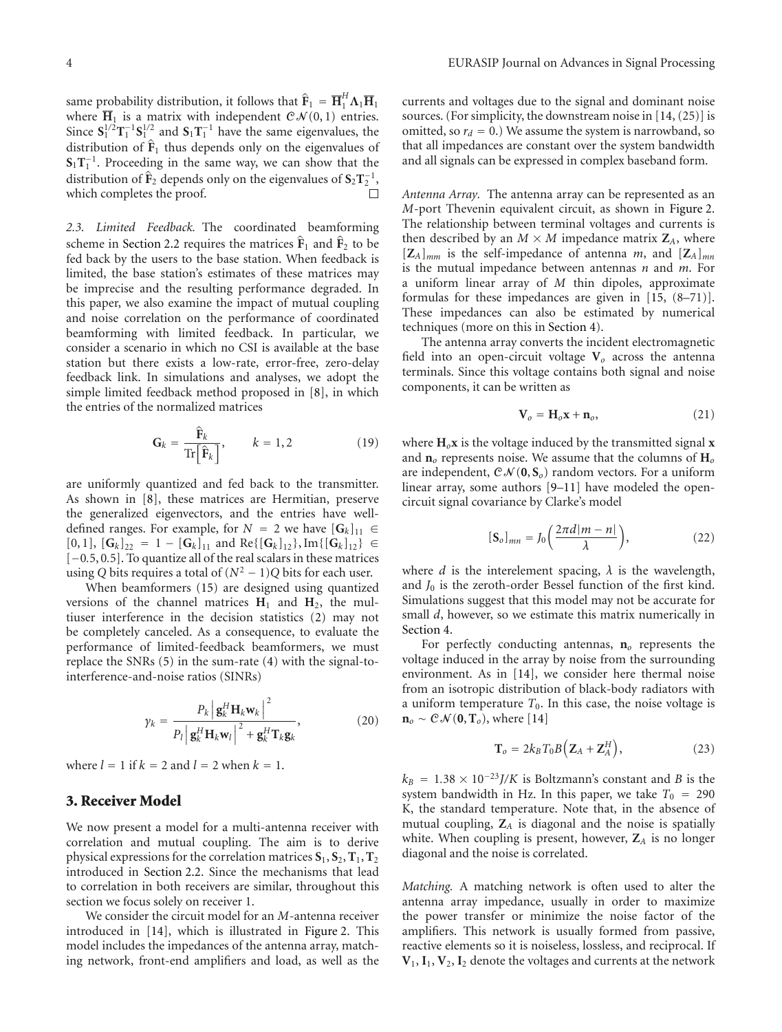same probability distribution, it follows that  $\hat{\mathbf{F}}_1 = \overline{\mathbf{H}}_1^H \mathbf{\Lambda}_1 \overline{\mathbf{H}}_1$ where  $\overline{\mathbf{H}}_1$  is a matrix with independent  $\mathcal{CN}(0, 1)$  entries. Since  $S_1^{1/2}T_1^{-1}S_1^{1/2}$  and  $S_1T_1^{-1}$  have the same eigenvalues, the distribution of **<sup>F</sup>**<sup>1</sup> thus depends only on the eigenvalues of  $S_1T_1^{-1}$ . Proceeding in the same way, we can show that the distribution of  $\hat{F}_2$  depends only on the eigenvalues of  $S_2T_2^{-1}$ , which completes the proof.

*2.3. Limited Feedback.* The coordinated beamforming scheme in Section 2.2 requires the matrices  $\hat{F}_1$  and  $\hat{F}_2$  to be fed back by the users to the base station. When feedback is limited, the base station's estimates of these matrices may be imprecise and the resulting performance degraded. In this paper, we also examine the impact of mutual coupling and noise correlation on the performance of coordinated beamforming with limited feedback. In particular, we consider a scenario in which no CSI is available at the base station but there exists a low-rate, error-free, zero-delay feedback link. In simulations and analyses, we adopt the simple limited feedback method proposed in [8], in which the entries of the normalized matrices

$$
\mathbf{G}_k = \frac{\hat{\mathbf{F}}_k}{\text{Tr}\left[\hat{\mathbf{F}}_k\right]}, \qquad k = 1, 2 \tag{19}
$$

are uniformly quantized and fed back to the transmitter. As shown in [8], these matrices are Hermitian, preserve the generalized eigenvectors, and the entries have welldefined ranges. For example, for *N* = 2 we have  $[G_k]_{11}$  ∈  $[0, 1]$ ,  $[G_k]_{22} = 1 - [G_k]_{11}$  and  $Re{[G_k]_{12}}$ , Im{ $[G_k]_{12}$ } ∈ [−0*.*5, 0*.*5]. To quantize all of the real scalars in these matrices using *Q* bits requires a total of  $(N^2 – 1)Q$  bits for each user.

When beamformers (15) are designed using quantized versions of the channel matrices  $H_1$  and  $H_2$ , the multiuser interference in the decision statistics (2) may not be completely canceled. As a consequence, to evaluate the performance of limited-feedback beamformers, we must replace the SNRs (5) in the sum-rate (4) with the signal-tointerference-and-noise ratios (SINRs)

$$
\gamma_k = \frac{P_k \left| \mathbf{g}_k^H \mathbf{H}_k \mathbf{w}_k \right|^2}{P_l \left| \mathbf{g}_k^H \mathbf{H}_k \mathbf{w}_l \right|^2 + \mathbf{g}_k^H \mathbf{T}_k \mathbf{g}_k},
$$
(20)

where  $l = 1$  if  $k = 2$  and  $l = 2$  when  $k = 1$ .

#### **3. Receiver Model**

We now present a model for a multi-antenna receiver with correlation and mutual coupling. The aim is to derive physical expressions for the correlation matrices  $S_1$ ,  $S_2$ ,  $T_1$ ,  $T_2$ introduced in Section 2.2. Since the mechanisms that lead to correlation in both receivers are similar, throughout this section we focus solely on receiver 1.

We consider the circuit model for an *M*-antenna receiver introduced in [14], which is illustrated in Figure 2. This model includes the impedances of the antenna array, matching network, front-end amplifiers and load, as well as the currents and voltages due to the signal and dominant noise sources. (For simplicity, the downstream noise in [14, (25)] is omitted, so  $r_d = 0$ .) We assume the system is narrowband, so that all impedances are constant over the system bandwidth and all signals can be expressed in complex baseband form.

*Antenna Array.* The antenna array can be represented as an *M*-port Thevenin equivalent circuit, as shown in Figure 2. The relationship between terminal voltages and currents is then described by an  $M \times M$  impedance matrix  $\mathbb{Z}_A$ , where  $[Z_A]_{mm}$  is the self-impedance of antenna *m*, and  $[Z_A]_{mn}$ is the mutual impedance between antennas *n* and *m*. For a uniform linear array of *M* thin dipoles, approximate formulas for these impedances are given in [15, (8–71)]. These impedances can also be estimated by numerical techniques (more on this in Section 4).

The antenna array converts the incident electromagnetic field into an open-circuit voltage **V***<sup>o</sup>* across the antenna terminals. Since this voltage contains both signal and noise components, it can be written as

$$
\mathbf{V}_o = \mathbf{H}_o \mathbf{x} + \mathbf{n}_o,\tag{21}
$$

where  $H_0$ **x** is the voltage induced by the transmitted signal **x** and **n***<sup>o</sup>* represents noise. We assume that the columns of **H***<sup>o</sup>* are independent,  $C\mathcal{N}(\mathbf{0}, \mathbf{S}_o)$  random vectors. For a uniform linear array, some authors [9–11] have modeled the opencircuit signal covariance by Clarke's model

$$
[\mathbf{S}_o]_{mn} = J_0 \bigg( \frac{2\pi d|m - n|}{\lambda} \bigg), \tag{22}
$$

where *d* is the interelement spacing,  $\lambda$  is the wavelength, and  $J_0$  is the zeroth-order Bessel function of the first kind. Simulations suggest that this model may not be accurate for small *d*, however, so we estimate this matrix numerically in Section 4.

For perfectly conducting antennas, **n***<sup>o</sup>* represents the voltage induced in the array by noise from the surrounding environment. As in [14], we consider here thermal noise from an isotropic distribution of black-body radiators with a uniform temperature  $T_0$ . In this case, the noise voltage is **n**<sub>*o*</sub> ∼  $\mathcal{C}\mathcal{N}(\mathbf{0}, \mathbf{T}_o)$ , where [14]

$$
\mathbf{T}_o = 2k_B T_0 B \Big( \mathbf{Z}_A + \mathbf{Z}_A^H \Big), \tag{23}
$$

 $k_B = 1.38 \times 10^{-23}$ *J/K* is Boltzmann's constant and *B* is the system bandwidth in Hz. In this paper, we take  $T_0 = 290$ K, the standard temperature. Note that, in the absence of mutual coupling, **Z***<sup>A</sup>* is diagonal and the noise is spatially white. When coupling is present, however, **Z***<sup>A</sup>* is no longer diagonal and the noise is correlated.

*Matching.* A matching network is often used to alter the antenna array impedance, usually in order to maximize the power transfer or minimize the noise factor of the amplifiers. This network is usually formed from passive, reactive elements so it is noiseless, lossless, and reciprocal. If **V**1, **I**1, **V**2, **I**<sup>2</sup> denote the voltages and currents at the network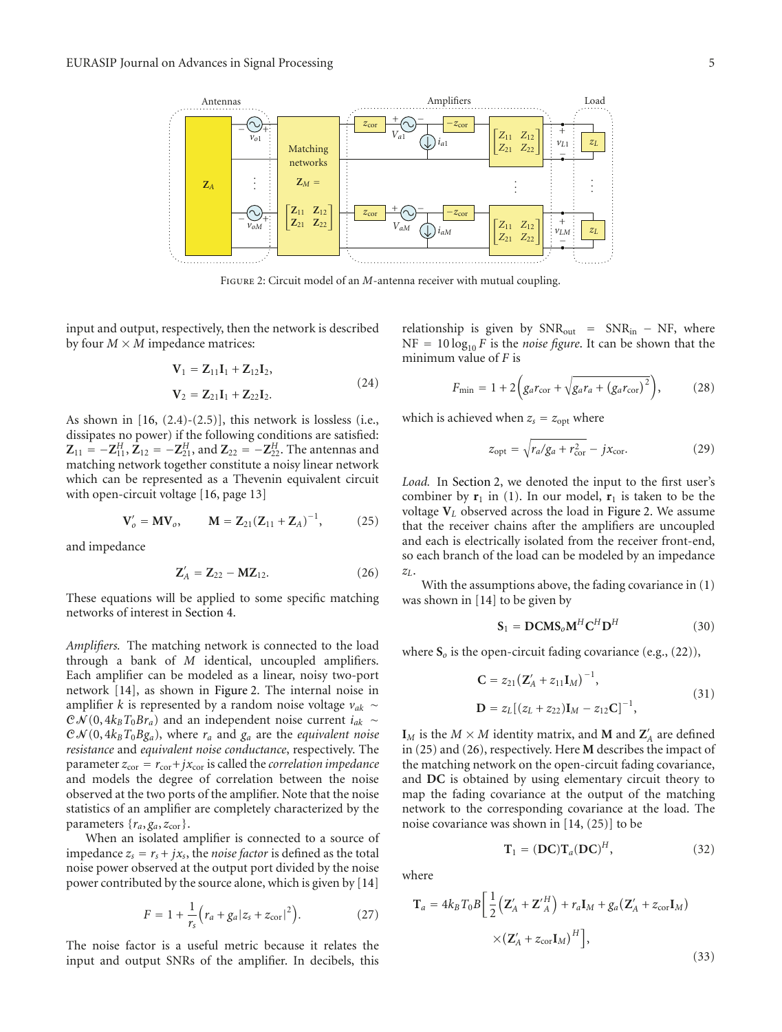

Figure 2: Circuit model of an *M*-antenna receiver with mutual coupling.

input and output, respectively, then the network is described by four  $M \times M$  impedance matrices:

$$
V_1 = Z_{11}I_1 + Z_{12}I_2,
$$
  
\n
$$
V_2 = Z_{21}I_1 + Z_{22}I_2.
$$
\n(24)

As shown in  $[16, (2.4)-(2.5)]$ , this network is lossless (i.e., dissipates no power) if the following conditions are satisfied:  $\mathbf{Z}_{11} = -\mathbf{Z}_{11}^H$ ,  $\mathbf{Z}_{12} = -\mathbf{Z}_{21}^H$ , and  $\mathbf{Z}_{22} = -\mathbf{Z}_{22}^H$ . The antennas and matching network together constitute a noisy linear network which can be represented as a Thevenin equivalent circuit with open-circuit voltage [16, page 13]

$$
\mathbf{V}'_o = \mathbf{M} \mathbf{V}_o, \qquad \mathbf{M} = \mathbf{Z}_{21} (\mathbf{Z}_{11} + \mathbf{Z}_A)^{-1}, \tag{25}
$$

and impedance

$$
Z'_A = Z_{22} - MZ_{12}.
$$
 (26)

These equations will be applied to some specific matching networks of interest in Section 4.

*Amplifiers.* The matching network is connected to the load through a bank of *M* identical, uncoupled amplifiers. Each amplifier can be modeled as a linear, noisy two-port network [14], as shown in Figure 2. The internal noise in amplifier *k* is represented by a random noise voltage *vak* ∼ CN (0, 4 $k_B T_0 B r_a$ ) and an independent noise current *i<sub>ak</sub>* ∼  $C\mathcal{N}(0, 4k_BT_0Bg_a)$ , where  $r_a$  and  $g_a$  are the *equivalent noise resistance* and *equivalent noise conductance*, respectively. The parameter  $z_{\text{cor}} = r_{\text{cor}} + jx_{\text{cor}}$  is called the *correlation impedance* and models the degree of correlation between the noise observed at the two ports of the amplifier. Note that the noise statistics of an amplifier are completely characterized by the parameters  $\{r_a, g_a, z_{\text{cor}}\}.$ 

When an isolated amplifier is connected to a source of impedance  $z_s = r_s + jx_s$ , the *noise factor* is defined as the total noise power observed at the output port divided by the noise power contributed by the source alone, which is given by [14]

$$
F = 1 + \frac{1}{r_s} \Big( r_a + g_a |z_s + z_{\text{cor}}|^2 \Big). \tag{27}
$$

The noise factor is a useful metric because it relates the input and output SNRs of the amplifier. In decibels, this relationship is given by  $SNR_{out}$  =  $SNR_{in}$  – NF, where  $NF = 10 \log_{10} F$  is the *noise figure*. It can be shown that the minimum value of *F* is

$$
F_{\min} = 1 + 2\left(g_a r_{\text{cor}} + \sqrt{g_a r_a + (g_a r_{\text{cor}})^2}\right),\tag{28}
$$

which is achieved when  $z_s = z_{opt}$  where

$$
z_{\rm opt} = \sqrt{r_a/g_a + r_{\rm cor}^2} - jx_{\rm cor}.\tag{29}
$$

*Load.* In Section 2, we denoted the input to the first user's combiner by  $\mathbf{r}_1$  in (1). In our model,  $\mathbf{r}_1$  is taken to be the voltage **V***<sup>L</sup>* observed across the load in Figure 2. We assume that the receiver chains after the amplifiers are uncoupled and each is electrically isolated from the receiver front-end, so each branch of the load can be modeled by an impedance *zL*.

With the assumptions above, the fading covariance in (1) was shown in [14] to be given by

$$
\mathbf{S}_1 = \mathbf{DCMS}_o \mathbf{M}^H \mathbf{C}^H \mathbf{D}^H \tag{30}
$$

where  $S$ <sup> $o$ </sup> is the open-circuit fading covariance (e.g., (22)),

$$
\mathbf{C} = z_{21} (\mathbf{Z}'_A + z_{11} \mathbf{I}_M)^{-1},
$$
  
\n
$$
\mathbf{D} = z_L [ (z_L + z_{22}) \mathbf{I}_M - z_{12} \mathbf{C} ]^{-1},
$$
\n(31)

 $\mathbf{I}_M$  is the  $M \times M$  identity matrix, and **M** and  $\mathbf{Z}'_A$  are defined in (25) and (26), respectively. Here **M** describes the impact of the matching network on the open-circuit fading covariance, and **DC** is obtained by using elementary circuit theory to map the fading covariance at the output of the matching network to the corresponding covariance at the load. The noise covariance was shown in [14, (25)] to be

$$
\mathbf{T}_1 = (\mathbf{DC}) \mathbf{T}_a (\mathbf{DC})^H, \tag{32}
$$

where

$$
\mathbf{T}_a = 4k_B T_0 B \left[ \frac{1}{2} \left( \mathbf{Z}_A' + \mathbf{Z'}_A^H \right) + r_a \mathbf{I}_M + g_a \left( \mathbf{Z}_A' + z_{\text{cor}} \mathbf{I}_M \right) \right. \times \left. \left( \mathbf{Z}_A' + z_{\text{cor}} \mathbf{I}_M \right)^H \right],\tag{33}
$$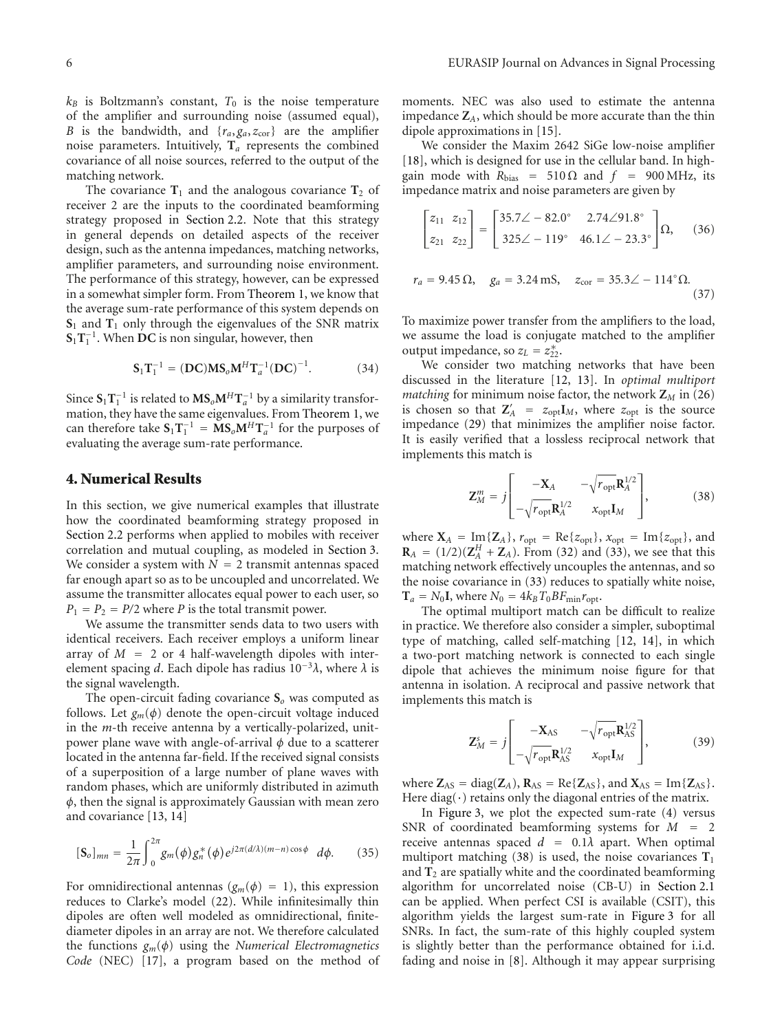$k_B$  is Boltzmann's constant,  $T_0$  is the noise temperature of the amplifier and surrounding noise (assumed equal), *B* is the bandwidth, and  $\{r_a, g_a, z_{\text{cor}}\}$  are the amplifier noise parameters. Intuitively, **T***<sup>a</sup>* represents the combined covariance of all noise sources, referred to the output of the matching network.

The covariance  $T_1$  and the analogous covariance  $T_2$  of receiver 2 are the inputs to the coordinated beamforming strategy proposed in Section 2.2. Note that this strategy in general depends on detailed aspects of the receiver design, such as the antenna impedances, matching networks, amplifier parameters, and surrounding noise environment. The performance of this strategy, however, can be expressed in a somewhat simpler form. From Theorem 1, we know that the average sum-rate performance of this system depends on **S**<sup>1</sup> and **T**<sup>1</sup> only through the eigenvalues of the SNR matrix **S**1**T**−<sup>1</sup> <sup>1</sup> . When **DC** is non singular, however, then

$$
S_1T_1^{-1} = (DC)MS_oM^H T_a^{-1} (DC)^{-1}.
$$
 (34)

Since  $S_1T_1^{-1}$  is related to  $MS_oM^HT_a^{-1}$  by a similarity transformation, they have the same eigenvalues. From Theorem 1, we can therefore take  $S_1 T_1^{-1} = MS_o M^H T_a^{-1}$  for the purposes of evaluating the average sum-rate performance.

## **4. Numerical Results**

In this section, we give numerical examples that illustrate how the coordinated beamforming strategy proposed in Section 2.2 performs when applied to mobiles with receiver correlation and mutual coupling, as modeled in Section 3. We consider a system with  $N = 2$  transmit antennas spaced far enough apart so as to be uncoupled and uncorrelated. We assume the transmitter allocates equal power to each user, so  $P_1 = P_2 = P/2$  where *P* is the total transmit power.

We assume the transmitter sends data to two users with identical receivers. Each receiver employs a uniform linear array of  $M = 2$  or 4 half-wavelength dipoles with interelement spacing *d*. Each dipole has radius 10−3*λ*, where *λ* is the signal wavelength.

The open-circuit fading covariance **S***<sup>o</sup>* was computed as follows. Let  $g_m(\phi)$  denote the open-circuit voltage induced in the *m*-th receive antenna by a vertically-polarized, unitpower plane wave with angle-of-arrival *φ* due to a scatterer located in the antenna far-field. If the received signal consists of a superposition of a large number of plane waves with random phases, which are uniformly distributed in azimuth *φ*, then the signal is approximately Gaussian with mean zero and covariance [13, 14]

$$
[\mathbf{S}_o]_{mn} = \frac{1}{2\pi} \int_0^{2\pi} g_m(\phi) g_n^*(\phi) e^{j2\pi (d/\lambda)(m-n)\cos\phi} d\phi. \tag{35}
$$

For omnidirectional antennas  $(g_m(\phi) = 1)$ , this expression reduces to Clarke's model (22). While infinitesimally thin dipoles are often well modeled as omnidirectional, finitediameter dipoles in an array are not. We therefore calculated the functions *gm*(*φ*) using the *Numerical Electromagnetics Code* (NEC) [17], a program based on the method of

moments. NEC was also used to estimate the antenna impedance  $\mathbb{Z}_A$ , which should be more accurate than the thin dipole approximations in [15].

We consider the Maxim 2642 SiGe low-noise amplifier [18], which is designed for use in the cellular band. In highgain mode with  $R_{bias}$  = 510  $\Omega$  and  $f$  = 900 MHz, its impedance matrix and noise parameters are given by

$$
\begin{bmatrix} z_{11} & z_{12} \ z_{21} & z_{22} \end{bmatrix} = \begin{bmatrix} 35.7\angle -82.0^{\circ} & 2.74\angle 91.8^{\circ} \\ 325\angle -119^{\circ} & 46.1\angle -23.3^{\circ} \end{bmatrix} \Omega, \qquad (36)
$$

$$
r_a = 9.45 \Omega
$$
,  $g_a = 3.24 \text{ mS}$ ,  $z_{\text{cor}} = 35.3 \angle -114^{\circ} \Omega$ . (37)

To maximize power transfer from the amplifiers to the load, we assume the load is conjugate matched to the amplifier output impedance, so  $z_L = z_{22}^*$ .

We consider two matching networks that have been discussed in the literature [12, 13]. In *optimal multiport matching* for minimum noise factor, the network  $\mathbb{Z}_M$  in (26) is chosen so that  $Z'_A = z_{opt}I_M$ , where  $z_{opt}$  is the source impedance (29) that minimizes the amplifier noise factor. It is easily verified that a lossless reciprocal network that implements this match is

$$
\mathbf{Z}_{M}^{m} = j \begin{bmatrix} -\mathbf{X}_{A} & -\sqrt{r_{\text{opt}}}\mathbf{R}_{A}^{1/2} \\ -\sqrt{r_{\text{opt}}}\mathbf{R}_{A}^{1/2} & x_{\text{opt}}\mathbf{I}_{M} \end{bmatrix}, \quad (38)
$$

where  $X_A = \text{Im}\{Z_A\}$ ,  $r_{\text{opt}} = \text{Re}\{z_{\text{opt}}\}$ ,  $x_{\text{opt}} = \text{Im}\{z_{\text{opt}}\}$ , and  **From (32) and (33), we see that this** matching network effectively uncouples the antennas, and so the noise covariance in (33) reduces to spatially white noise,  $T_a = N_0 I$ , where  $N_0 = 4k_B T_0 BF_{\text{min}}r_{\text{opt}}$ .

The optimal multiport match can be difficult to realize in practice. We therefore also consider a simpler, suboptimal type of matching, called self-matching [12, 14], in which a two-port matching network is connected to each single dipole that achieves the minimum noise figure for that antenna in isolation. A reciprocal and passive network that implements this match is

$$
\mathbf{Z}_{M}^{\mathrm{s}} = j \begin{bmatrix} -\mathbf{X}_{\mathrm{AS}} & -\sqrt{r_{\mathrm{opt}}}\mathbf{R}_{\mathrm{AS}}^{1/2} \\ -\sqrt{r_{\mathrm{opt}}}\mathbf{R}_{\mathrm{AS}}^{1/2} & x_{\mathrm{opt}}\mathbf{I}_{M} \end{bmatrix},\tag{39}
$$

where  $\mathbf{Z}_{AS} = \text{diag}(\mathbf{Z}_A)$ ,  $\mathbf{R}_{AS} = \text{Re}\{\mathbf{Z}_{AS}\}$ , and  $\mathbf{X}_{AS} = \text{Im}\{\mathbf{Z}_{AS}\}$ . Here diag( $\cdot$ ) retains only the diagonal entries of the matrix.

In Figure 3, we plot the expected sum-rate (4) versus SNR of coordinated beamforming systems for *M* = 2 receive antennas spaced  $d = 0.1\lambda$  apart. When optimal multiport matching (38) is used, the noise covariances **T**<sup>1</sup> and **T**<sup>2</sup> are spatially white and the coordinated beamforming algorithm for uncorrelated noise (CB-U) in Section 2.1 can be applied. When perfect CSI is available (CSIT), this algorithm yields the largest sum-rate in Figure 3 for all SNRs. In fact, the sum-rate of this highly coupled system is slightly better than the performance obtained for i.i.d. fading and noise in [8]. Although it may appear surprising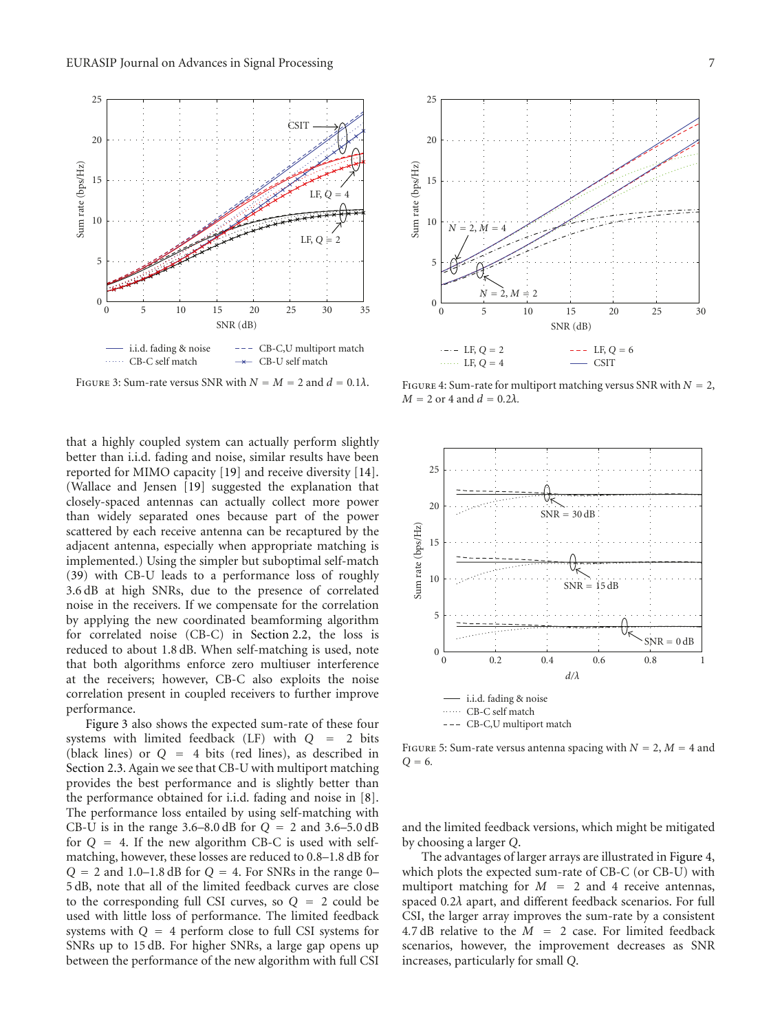

FIGURE 3: Sum-rate versus SNR with  $N = M = 2$  and  $d = 0.1\lambda$ .

that a highly coupled system can actually perform slightly better than i.i.d. fading and noise, similar results have been reported for MIMO capacity [19] and receive diversity [14]. (Wallace and Jensen [19] suggested the explanation that closely-spaced antennas can actually collect more power than widely separated ones because part of the power scattered by each receive antenna can be recaptured by the adjacent antenna, especially when appropriate matching is implemented.) Using the simpler but suboptimal self-match (39) with CB-U leads to a performance loss of roughly 3.6 dB at high SNRs, due to the presence of correlated noise in the receivers. If we compensate for the correlation by applying the new coordinated beamforming algorithm for correlated noise (CB-C) in Section 2.2, the loss is reduced to about 1.8 dB. When self-matching is used, note that both algorithms enforce zero multiuser interference at the receivers; however, CB-C also exploits the noise correlation present in coupled receivers to further improve performance.

Figure 3 also shows the expected sum-rate of these four systems with limited feedback (LF) with *Q* = 2 bits (black lines) or *Q* = 4 bits (red lines), as described in Section 2.3. Again we see that CB-U with multiport matching provides the best performance and is slightly better than the performance obtained for i.i.d. fading and noise in [8]. The performance loss entailed by using self-matching with CB-U is in the range 3.6–8.0 dB for *Q* = 2 and 3.6–5.0 dB for  $Q = 4$ . If the new algorithm CB-C is used with selfmatching, however, these losses are reduced to 0.8–1.8 dB for  $Q = 2$  and 1.0–1.8 dB for  $Q = 4$ . For SNRs in the range 0– 5 dB, note that all of the limited feedback curves are close to the corresponding full CSI curves, so  $Q = 2$  could be used with little loss of performance. The limited feedback systems with *Q* = 4 perform close to full CSI systems for SNRs up to 15 dB. For higher SNRs, a large gap opens up between the performance of the new algorithm with full CSI



FIGURE 4: Sum-rate for multiport matching versus SNR with  $N = 2$ ,  $M = 2$  or 4 and  $d = 0.2\lambda$ .



FIGURE 5: Sum-rate versus antenna spacing with  $N = 2$ ,  $M = 4$  and *Q* = 6*.*

and the limited feedback versions, which might be mitigated by choosing a larger *Q*.

The advantages of larger arrays are illustrated in Figure 4, which plots the expected sum-rate of CB-C (or CB-U) with multiport matching for  $M = 2$  and 4 receive antennas, spaced 0*.*2*λ* apart, and different feedback scenarios. For full CSI, the larger array improves the sum-rate by a consistent 4*.*7 dB relative to the *M* = 2 case. For limited feedback scenarios, however, the improvement decreases as SNR increases, particularly for small *Q*.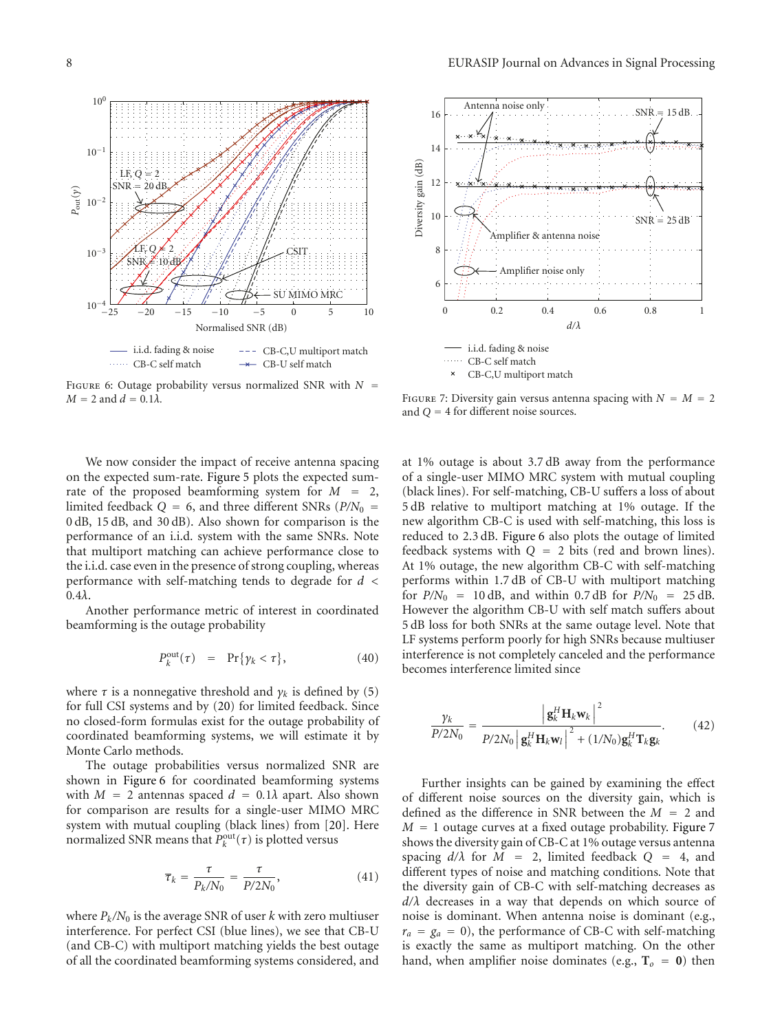



Figure 6: Outage probability versus normalized SNR with *N* =  $M = 2$  and  $d = 0.1\lambda$ .

FIGURE 7: Diversity gain versus antenna spacing with  $N = M = 2$ and *Q* = 4 for different noise sources.

We now consider the impact of receive antenna spacing on the expected sum-rate. Figure 5 plots the expected sumrate of the proposed beamforming system for  $M = 2$ , limited feedback  $Q = 6$ , and three different SNRs ( $P/N_0 =$ 0 dB, 15 dB, and 30 dB). Also shown for comparison is the performance of an i.i.d. system with the same SNRs. Note that multiport matching can achieve performance close to the i.i.d. case even in the presence of strong coupling, whereas performance with self-matching tends to degrade for *d <*  $0.4\lambda$ .

Another performance metric of interest in coordinated beamforming is the outage probability

$$
P_k^{\text{out}}(\tau) = \Pr\{\gamma_k < \tau\},\tag{40}
$$

where  $\tau$  is a nonnegative threshold and  $\gamma_k$  is defined by (5) for full CSI systems and by (20) for limited feedback. Since no closed-form formulas exist for the outage probability of coordinated beamforming systems, we will estimate it by Monte Carlo methods.

The outage probabilities versus normalized SNR are shown in Figure 6 for coordinated beamforming systems with  $M = 2$  antennas spaced  $d = 0.1\lambda$  apart. Also shown for comparison are results for a single-user MIMO MRC system with mutual coupling (black lines) from [20]. Here normalized SNR means that  $P_k^{\text{out}}(\tau)$  is plotted versus

$$
\overline{\tau}_k = \frac{\tau}{P_k/N_0} = \frac{\tau}{P/2N_0},\tag{41}
$$

where  $P_k/N_0$  is the average SNR of user  $k$  with zero multiuser interference. For perfect CSI (blue lines), we see that CB-U (and CB-C) with multiport matching yields the best outage of all the coordinated beamforming systems considered, and at 1% outage is about 3.7 dB away from the performance of a single-user MIMO MRC system with mutual coupling (black lines). For self-matching, CB-U suffers a loss of about 5 dB relative to multiport matching at 1% outage. If the new algorithm CB-C is used with self-matching, this loss is reduced to 2.3 dB. Figure 6 also plots the outage of limited feedback systems with *Q* = 2 bits (red and brown lines). At 1% outage, the new algorithm CB-C with self-matching performs within 1.7 dB of CB-U with multiport matching for  $P/N_0$  = 10 dB, and within 0.7 dB for  $P/N_0$  = 25 dB. However the algorithm CB-U with self match suffers about 5 dB loss for both SNRs at the same outage level. Note that LF systems perform poorly for high SNRs because multiuser interference is not completely canceled and the performance becomes interference limited since

$$
\frac{\gamma_k}{P/2N_0} = \frac{\left|\mathbf{g}_k^H \mathbf{H}_k \mathbf{w}_k\right|^2}{P/2N_0 \left|\mathbf{g}_k^H \mathbf{H}_k \mathbf{w}_l\right|^2 + (1/N_0)\mathbf{g}_k^H \mathbf{T}_k \mathbf{g}_k}.
$$
(42)

Further insights can be gained by examining the effect of different noise sources on the diversity gain, which is defined as the difference in SNR between the *M* = 2 and  $M = 1$  outage curves at a fixed outage probability. Figure 7 shows the diversity gain of CB-C at 1% outage versus antenna spacing  $d/\lambda$  for  $M = 2$ , limited feedback  $Q = 4$ , and different types of noise and matching conditions. Note that the diversity gain of CB-C with self-matching decreases as *d/λ* decreases in a way that depends on which source of noise is dominant. When antenna noise is dominant (e.g.,  $r_a = g_a = 0$ ), the performance of CB-C with self-matching is exactly the same as multiport matching. On the other hand, when amplifier noise dominates (e.g.,  $T<sub>o</sub> = 0$ ) then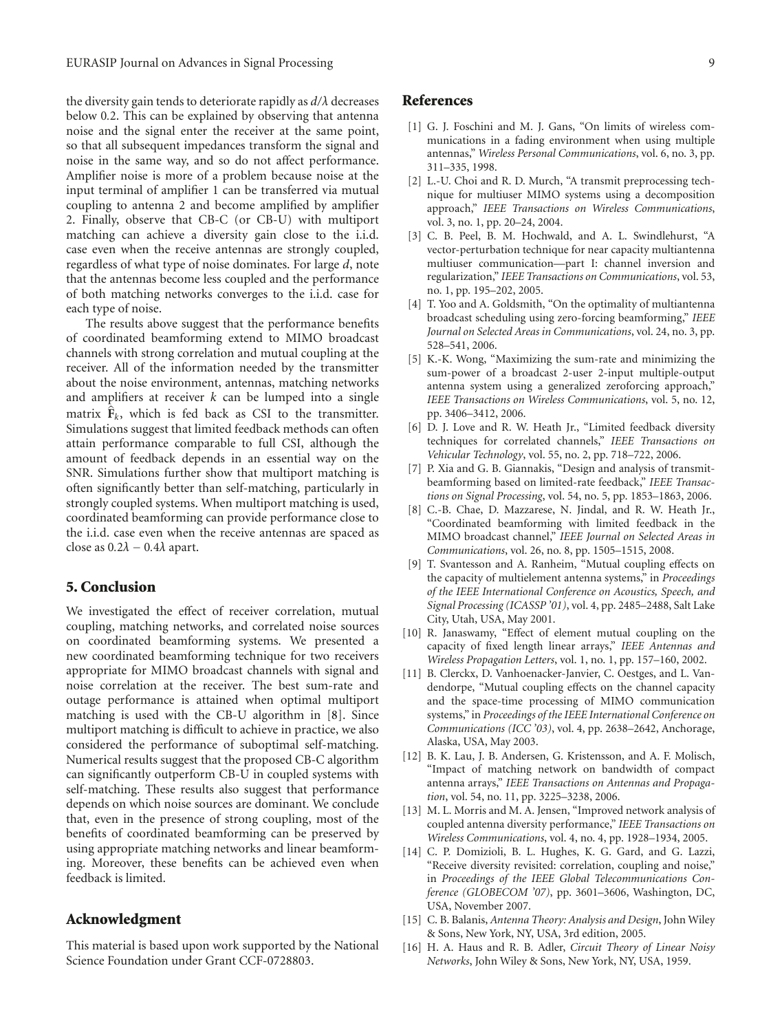the diversity gain tends to deteriorate rapidly as *d/λ* decreases below 0*.*2. This can be explained by observing that antenna noise and the signal enter the receiver at the same point, so that all subsequent impedances transform the signal and noise in the same way, and so do not affect performance. Amplifier noise is more of a problem because noise at the input terminal of amplifier 1 can be transferred via mutual coupling to antenna 2 and become amplified by amplifier 2. Finally, observe that CB-C (or CB-U) with multiport matching can achieve a diversity gain close to the i.i.d. case even when the receive antennas are strongly coupled, regardless of what type of noise dominates. For large *d*, note that the antennas become less coupled and the performance of both matching networks converges to the i.i.d. case for each type of noise.

The results above suggest that the performance benefits of coordinated beamforming extend to MIMO broadcast channels with strong correlation and mutual coupling at the receiver. All of the information needed by the transmitter about the noise environment, antennas, matching networks and amplifiers at receiver *k* can be lumped into a single matrix  $\hat{\mathbf{F}}_k$ , which is fed back as CSI to the transmitter. Simulations suggest that limited feedback methods can often attain performance comparable to full CSI, although the amount of feedback depends in an essential way on the SNR. Simulations further show that multiport matching is often significantly better than self-matching, particularly in strongly coupled systems. When multiport matching is used, coordinated beamforming can provide performance close to the i.i.d. case even when the receive antennas are spaced as close as  $0.2\lambda - 0.4\lambda$  apart.

## **5. Conclusion**

We investigated the effect of receiver correlation, mutual coupling, matching networks, and correlated noise sources on coordinated beamforming systems. We presented a new coordinated beamforming technique for two receivers appropriate for MIMO broadcast channels with signal and noise correlation at the receiver. The best sum-rate and outage performance is attained when optimal multiport matching is used with the CB-U algorithm in [8]. Since multiport matching is difficult to achieve in practice, we also considered the performance of suboptimal self-matching. Numerical results suggest that the proposed CB-C algorithm can significantly outperform CB-U in coupled systems with self-matching. These results also suggest that performance depends on which noise sources are dominant. We conclude that, even in the presence of strong coupling, most of the benefits of coordinated beamforming can be preserved by using appropriate matching networks and linear beamforming. Moreover, these benefits can be achieved even when feedback is limited.

## **Acknowledgment**

This material is based upon work supported by the National Science Foundation under Grant CCF-0728803.

### **References**

- [1] G. J. Foschini and M. J. Gans, "On limits of wireless communications in a fading environment when using multiple antennas," *Wireless Personal Communications*, vol. 6, no. 3, pp. 311–335, 1998.
- [2] L.-U. Choi and R. D. Murch, "A transmit preprocessing technique for multiuser MIMO systems using a decomposition approach," *IEEE Transactions on Wireless Communications*, vol. 3, no. 1, pp. 20–24, 2004.
- [3] C. B. Peel, B. M. Hochwald, and A. L. Swindlehurst, "A vector-perturbation technique for near capacity multiantenna multiuser communication—part I: channel inversion and regularization," *IEEE Transactions on Communications*, vol. 53, no. 1, pp. 195–202, 2005.
- [4] T. Yoo and A. Goldsmith, "On the optimality of multiantenna broadcast scheduling using zero-forcing beamforming," *IEEE Journal on Selected Areas in Communications*, vol. 24, no. 3, pp. 528–541, 2006.
- [5] K.-K. Wong, "Maximizing the sum-rate and minimizing the sum-power of a broadcast 2-user 2-input multiple-output antenna system using a generalized zeroforcing approach," *IEEE Transactions on Wireless Communications*, vol. 5, no. 12, pp. 3406–3412, 2006.
- [6] D. J. Love and R. W. Heath Jr., "Limited feedback diversity techniques for correlated channels," *IEEE Transactions on Vehicular Technology*, vol. 55, no. 2, pp. 718–722, 2006.
- [7] P. Xia and G. B. Giannakis, "Design and analysis of transmitbeamforming based on limited-rate feedback," *IEEE Transactions on Signal Processing*, vol. 54, no. 5, pp. 1853–1863, 2006.
- [8] C.-B. Chae, D. Mazzarese, N. Jindal, and R. W. Heath Jr., "Coordinated beamforming with limited feedback in the MIMO broadcast channel," *IEEE Journal on Selected Areas in Communications*, vol. 26, no. 8, pp. 1505–1515, 2008.
- [9] T. Svantesson and A. Ranheim, "Mutual coupling effects on the capacity of multielement antenna systems," in *Proceedings of the IEEE International Conference on Acoustics, Speech, and Signal Processing (ICASSP '01)*, vol. 4, pp. 2485–2488, Salt Lake City, Utah, USA, May 2001.
- [10] R. Janaswamy, "Effect of element mutual coupling on the capacity of fixed length linear arrays," *IEEE Antennas and Wireless Propagation Letters*, vol. 1, no. 1, pp. 157–160, 2002.
- [11] B. Clerckx, D. Vanhoenacker-Janvier, C. Oestges, and L. Vandendorpe, "Mutual coupling effects on the channel capacity and the space-time processing of MIMO communication systems," in *Proceedings of the IEEE International Conference on Communications (ICC '03)*, vol. 4, pp. 2638–2642, Anchorage, Alaska, USA, May 2003.
- [12] B. K. Lau, J. B. Andersen, G. Kristensson, and A. F. Molisch, "Impact of matching network on bandwidth of compact antenna arrays," *IEEE Transactions on Antennas and Propagation*, vol. 54, no. 11, pp. 3225–3238, 2006.
- [13] M. L. Morris and M. A. Jensen, "Improved network analysis of coupled antenna diversity performance," *IEEE Transactions on Wireless Communications*, vol. 4, no. 4, pp. 1928–1934, 2005.
- [14] C. P. Domizioli, B. L. Hughes, K. G. Gard, and G. Lazzi, "Receive diversity revisited: correlation, coupling and noise," in *Proceedings of the IEEE Global Telecommunications Conference (GLOBECOM '07)*, pp. 3601–3606, Washington, DC, USA, November 2007.
- [15] C. B. Balanis, *Antenna Theory: Analysis and Design*, John Wiley & Sons, New York, NY, USA, 3rd edition, 2005.
- [16] H. A. Haus and R. B. Adler, *Circuit Theory of Linear Noisy Networks*, John Wiley & Sons, New York, NY, USA, 1959.